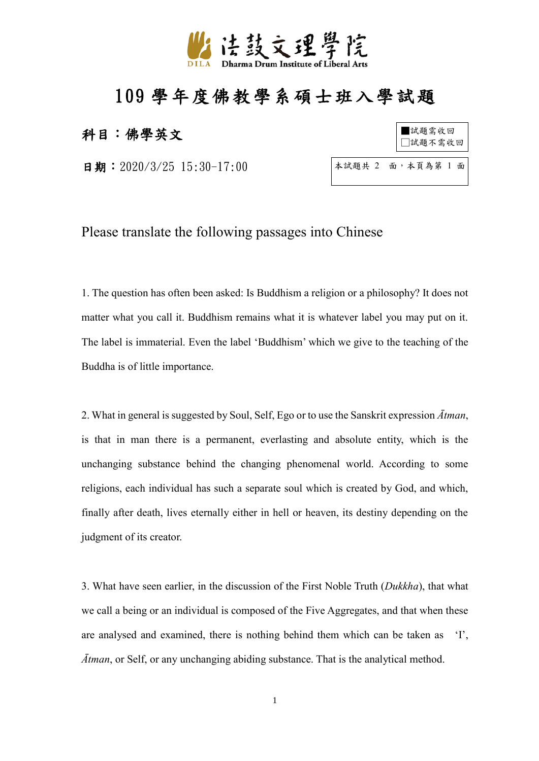

## 109 學年度佛教學系碩士班入學試題

## 科目:佛學英文

日期: 2020/3/25 15:30-17:00

| ■試題需收回<br>□試題不需收回 |
|-------------------|
|                   |

本試題共 2 面,本頁為第 1 面

Please translate the following passages into Chinese

1. The question has often been asked: Is Buddhism a religion or a philosophy? It does not matter what you call it. Buddhism remains what it is whatever label you may put on it. The label is immaterial. Even the label 'Buddhism' which we give to the teaching of the Buddha is of little importance.

2. What in general is suggested by Soul, Self, Ego or to use the Sanskrit expression *Ātman*, is that in man there is a permanent, everlasting and absolute entity, which is the unchanging substance behind the changing phenomenal world. According to some religions, each individual has such a separate soul which is created by God, and which, finally after death, lives eternally either in hell or heaven, its destiny depending on the judgment of its creator.

3. What have seen earlier, in the discussion of the First Noble Truth (*Dukkha*), that what we call a being or an individual is composed of the Five Aggregates, and that when these are analysed and examined, there is nothing behind them which can be taken as 'I', *Ātman*, or Self, or any unchanging abiding substance. That is the analytical method.